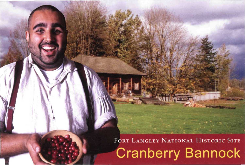**FORT LANGLEY NATIONAL HISTORIC SITE** Cranberry Bannock